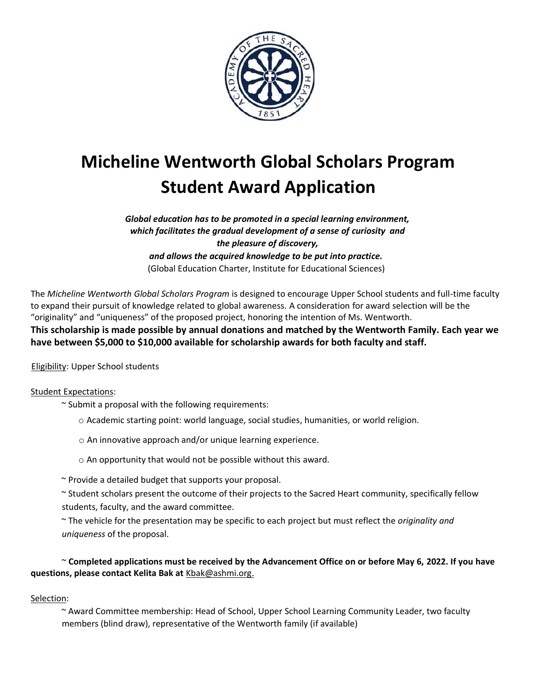

# **Micheline Wentworth Global Scholars Program Student Award Application**

*Global education has to be promoted in a special learning environment, which facilitates the gradual development of a sense of curiosity and the pleasure of discovery, and allows the acquired knowledge to be put into practice.* (Global Education Charter, Institute for Educational Sciences)

The *Micheline Wentworth Global Scholars Program* is designed to encourage Upper School students and full-time faculty to expand their pursuit of knowledge related to global awareness. A consideration for award selection will be the "originality" and "uniqueness" of the proposed project, honoring the intention of Ms. Wentworth. **This scholarship is made possible by annual donations and matched by the Wentworth Family. Each year we have between \$5,000 to \$10,000 available for scholarship awards for both faculty and staff.**

Eligibility: Upper School students

### Student Expectations:

- ~ Submit a proposal with the following requirements:
	- o Academic starting point: world language, social studies, humanities, or world religion.
	- o An innovative approach and/or unique learning experience.
	- o An opportunity that would not be possible without this award.
- ~ Provide a detailed budget that supports your proposal.
- ~ Student scholars present the outcome of their projects to the Sacred Heart community, specifically fellow students, faculty, and the award committee.
- ~ The vehicle for the presentation may be specific to each project but must reflect the *originality and uniqueness* of the proposal.

## ~ **Completed applications must be received by the Advancement Office on or before May 6, 2022. If you have questions, please contact Kelita Bak at** Kbak@ashmi.org.

### Selection:

~ Award Committee membership: Head of School, Upper School Learning Community Leader, two faculty members (blind draw), representative of the Wentworth family (if available)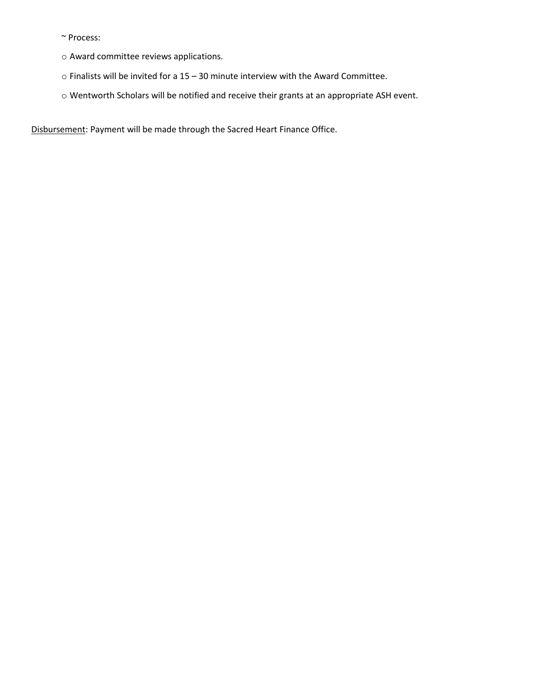~ Process:

- o Award committee reviews applications.
- o Finalists will be invited for a 15 30 minute interview with the Award Committee.
- o Wentworth Scholars will be notified and receive their grants at an appropriate ASH event.

Disbursement: Payment will be made through the Sacred Heart Finance Office.